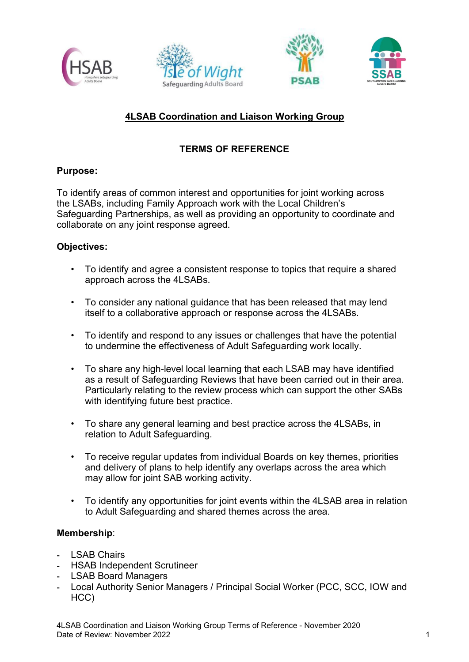





# 4LSAB Coordination and Liaison Working Group

# TERMS OF REFERENCE

## Purpose:

To identify areas of common interest and opportunities for joint working across the LSABs, including Family Approach work with the Local Children's Safeguarding Partnerships, as well as providing an opportunity to coordinate and collaborate on any joint response agreed.

## Objectives:

- To identify and agree a consistent response to topics that require a shared approach across the 4LSABs.
- To consider any national guidance that has been released that may lend itself to a collaborative approach or response across the 4LSABs.
- To identify and respond to any issues or challenges that have the potential to undermine the effectiveness of Adult Safeguarding work locally.
- To share any high-level local learning that each LSAB may have identified as a result of Safeguarding Reviews that have been carried out in their area. Particularly relating to the review process which can support the other SABs with identifying future best practice.
- To share any general learning and best practice across the 4LSABs, in relation to Adult Safeguarding.
- To receive regular updates from individual Boards on key themes, priorities and delivery of plans to help identify any overlaps across the area which may allow for joint SAB working activity.
- To identify any opportunities for joint events within the 4LSAB area in relation to Adult Safeguarding and shared themes across the area.

#### Membership:

- LSAB Chairs
- HSAB Independent Scrutineer
- LSAB Board Managers
- Local Authority Senior Managers / Principal Social Worker (PCC, SCC, IOW and HCC)